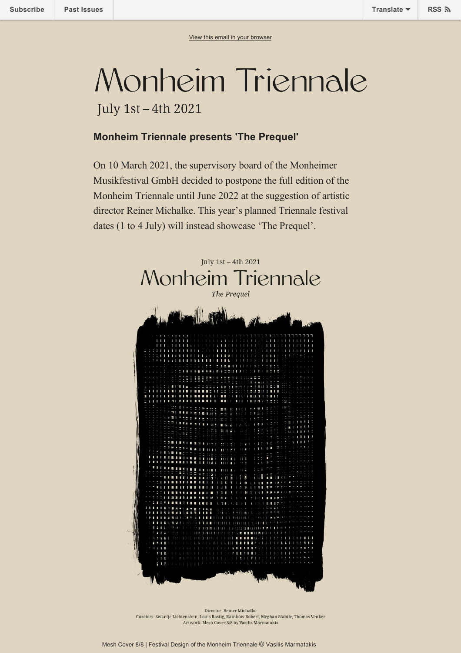## Monheim Triennale

July 1st - 4th 2021

## **Monheim Triennale presents 'The Prequel'**

On 10 March 2021, the supervisory board of the Monheimer Musikfestival GmbH decided to postpone the full edition of the Monheim Triennale until June 2022 at the suggestion of artistic director Reiner Michalke. This year's planned Triennale festival dates (1 to 4 July) will instead showcase 'The Prequel'.



Director: Reiner Michalke Curators: Swantje Lichtenstein, Louis Rastig, Rainbow Robert, Meghan Stabile, Thomas Venker Artwork: Mesh Cover 8/8 by Vasilis Marmatakis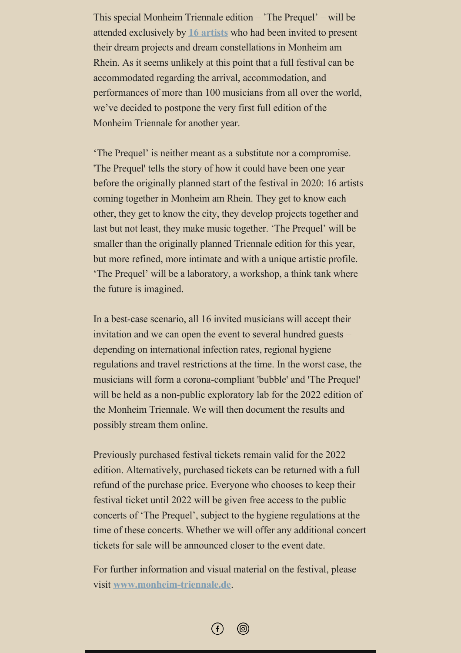This special Monheim Triennale edition – 'The Prequel' – will be attended exclusively by **[16 artists](https://www.monheim-triennale.de/en/artists)** who had been invited to present their dream projects and dream constellations in Monheim am Rhein. As it seems unlikely at this point that a full festival can be accommodated regarding the arrival, accommodation, and performances of more than 100 musicians from all over the world, we've decided to postpone the very first full edition of the Monheim Triennale for another year.

'The Prequel' is neither meant as a substitute nor a compromise. 'The Prequel' tells the story of how it could have been one year before the originally planned start of the festival in 2020: 16 artists coming together in Monheim am Rhein. They get to know each other, they get to know the city, they develop projects together and last but not least, they make music together. 'The Prequel' will be smaller than the originally planned Triennale edition for this year, but more refined, more intimate and with a unique artistic profile. 'The Prequel' will be a laboratory, a workshop, a think tank where the future is imagined.

In a best-case scenario, all 16 invited musicians will accept their invitation and we can open the event to several hundred guests – depending on international infection rates, regional hygiene regulations and travel restrictions at the time. In the worst case, the musicians will form a corona-compliant 'bubble' and 'The Prequel' will be held as a non-public exploratory lab for the 2022 edition of the Monheim Triennale. We will then document the results and possibly stream them online.

Previously purchased festival tickets remain valid for the 2022 edition. Alternatively, purchased tickets can be returned with a full refund of the purchase price. Everyone who chooses to keep their festival ticket until 2022 will be given free access to the public concerts of 'The Prequel', subject to the hygiene regulations at the time of these concerts. Whether we will offer any additional concert tickets for sale will be announced closer to the event date.

For further information and visual material on the festival, please visit **[www.monheim-triennale.de](http://www.monheim-triennale.de)**.